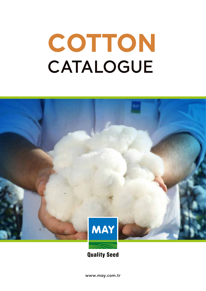## **CATALOGUE COTTON**



**Quality Seed** 

**www.may.com.tr**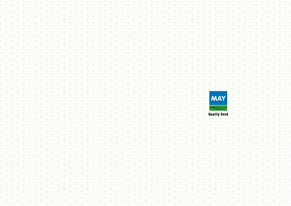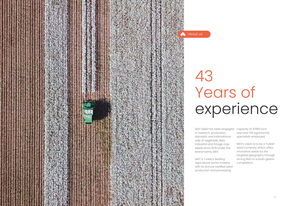

MAY Seed has been engaged in research, production, domestic and international sale of vegetable, field, industrial and forage crop seeds since 1978 under the brand name, MAY.

MAY is Turkey's leading agricultural sector investor with its annual certified seed production and processing

## Years of experience

capacity of 31.660 tons and over 120 agronomist specialists employed.

MAY's vision is to be a Turkish seed company which offers innovative seeds for the targeted geography through strong R&D to sustain global competition.

43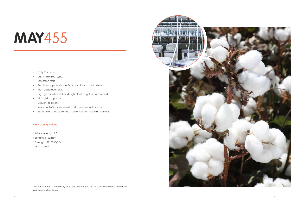- Early Maturity.
- Light-hairy Leaf type.
- Low trash ratio
- Semi-conic plant shape. Bolls are close to main stem.
- High adaptation skill.
- High germination skill and high plant height in barren lands.
- High yield capacity.
- Drought resistant.
- Resistant to Verticillium wilt and Fusarium wilt diseases.
- Strong Plant structure and Convenient for machine harvest.

#### Fiber quality values

- \* Micronaire: 4,4-4,8
- \* Lenght: 31-32 mm
- \* Strenght: 32-36 G/TEX
- \* GO%: 43-46



The performance of the variety may vary according to the climatical conditions, cultivation practices and soil types.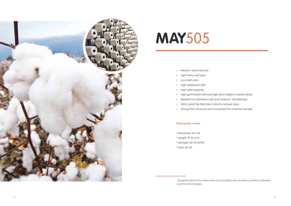

- Medium-early Maturity.
- Light-hairy Leaf type.
- Low trash ratio
- High adaptation skill.
- High yield capacity.
- High germination skill and high plant height in barren lands.
- Resistant to Verticillium wilt and Fusarium wilt diseases.
- Storm proof. No fiber loss in stormy harvest days.
- Strong Plant structure and Convenient for machine harvest.

### Fiber quality values

- \* Micronaire: 4,4-4,6
- \* Lenght: 31-32 mm
- \* Strenght: 32-36 G/TEX
- \* GO%: 43-45

The performance of the variety may vary according to the climatical conditions, cultivation practices and soil types.

- 
-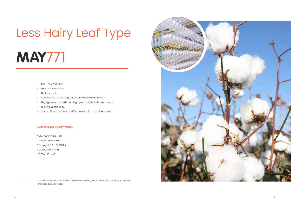- Mid-Early Maturity.
- Less hairy leaf type.
- No trash ratio
- Semi-conic plant shape. Bolls are close to main stem.
- High germination skill and high plant height in barren lands.
- High yield capacity.
- Strong Plant structure and Convenient for machine harvest.

- $*$  Micronaire: 4,4 4,8
- \* Lenght: 30 31 mm
- \* Strenght: 30 32 G/TEX
- \* Color GRD: 21 31
- \* GTO%: 42 43

#### Excellent Fiber Quality Values

The performance of the variety may vary according to the climatical conditions, cultivation practices and soil types.



# Less Hairy Leaf Type **MAY**771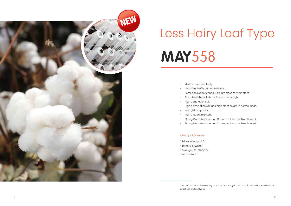- Medium-early Maturity.
- Less hairy leaf type, no trash ratio.
- Semi-conic plant shape. Bolls are close to main stem.
- The rate of the bolls have five locules is high.
- High adaptation skill.
- 
- High yield capacity.
- High drought resistant.
- Strong Plant structure and Convenient for machine harvest.
- Strong Plant structure and Convenient for machine harvest.

• High germination skill and high plant height in barren lands.

#### Fiber Quality Values

- \* Micronaire: 4,4-4,8
- \* Lenght: 31-32 mm
- \* Strenght: 33-38 G/TEX
- \* GO%: 44-46\*\*



## Less Hairy Leaf Type **MAY**558

The performance of the variety may vary according to the climatical conditions, cultivation

practices and soil types.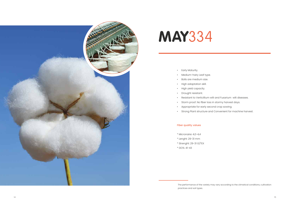

- Early Maturity.
- Medium-hairy Leaf type.
- Bolls are medium size.
- High adaptation skill.
- High yield capacity.
- Drought resistant.
- Resistant to Verticillium wilt and Fusarium wilt diseases.
- Storm proof. No fiber loss in stormy harvest days.
- Appropriate for early second crop sowing.
- Strong Plant structure and Convenient for machine harvest.

#### Fiber quality values

- \* Micronaire: 4,0-4,4
- \* Lenght: 29-31 mm
- \* Strenght: 29-31 G/TEX
- \* GO%: 41-43

The performance of the variety may vary according to the climatical conditions, cultivation

practices and soil types.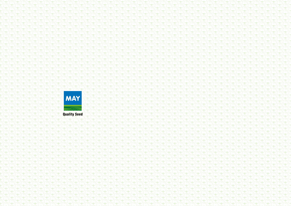

**Quality Seed**